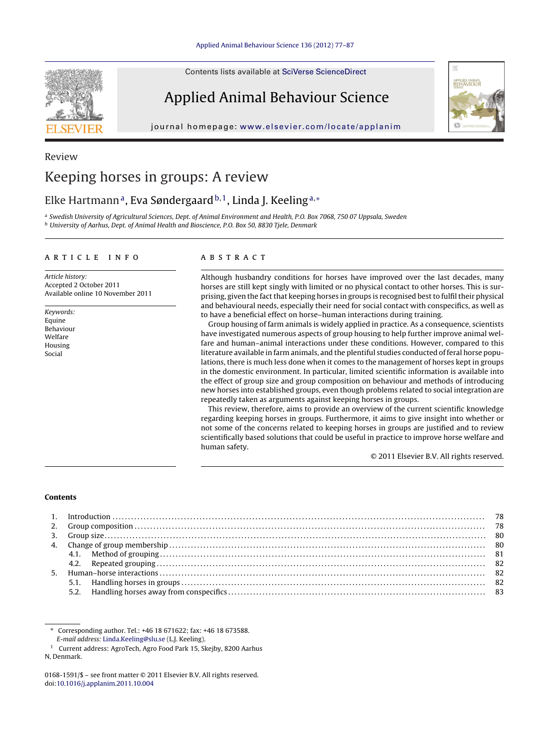Contents lists available at SciVerse [ScienceDirect](http://www.sciencedirect.com/science/journal/01681591)

# Applied Animal Behaviour Science

journal homepage: [www.elsevier.com/locate/applanim](http://www.elsevier.com/locate/applanim)

## Review Keeping horses in groups: A review

### Elke Hartmann<sup>a</sup>, Eva Søndergaard<sup>b,1</sup>, Linda J. Keeling<sup>a,∗</sup>

a Swedish University of Agricultural Sciences, Dept. of Animal Environment and Health, P.O. Box 7068, 750 07 Uppsala, Sweden <sup>b</sup> University of Aarhus, Dept. of Animal Health and Bioscience, P.O. Box 50, 8830 Tjele, Denmark

#### a r t i c l e i n f o

Article history: Accepted 2 October 2011 Available online 10 November 2011

Keywords: Equine Behaviour Welfare Housing Social

#### a b s t r a c t

Although husbandry conditions for horses have improved over the last decades, many horses are still kept singly with limited or no physical contact to other horses. This is surprising, given the factthat keeping horses in groups is recognised bestto fulfiltheir physical and behavioural needs, especially their need for social contact with conspecifics, as well as to have a beneficial effect on horse–human interactions during training.

Group housing of farm animals is widely applied in practice. As a consequence, scientists have investigated numerous aspects of group housing to help further improve animal welfare and human–animal interactions under these conditions. However, compared to this literature available in farm animals, and the plentiful studies conducted of feral horse populations, there is much less done when it comes to the management of horses kept in groups in the domestic environment. In particular, limited scientific information is available into the effect of group size and group composition on behaviour and methods of introducing new horses into established groups, even though problems related to social integration are repeatedly taken as arguments against keeping horses in groups.

This review, therefore, aims to provide an overview of the current scientific knowledge regarding keeping horses in groups. Furthermore, it aims to give insight into whether or not some of the concerns related to keeping horses in groups are justified and to review scientifically based solutions that could be useful in practice to improve horse welfare and human safety.

© 2011 Elsevier B.V. All rights reserved.

#### **Contents**

∗ Corresponding author. Tel.: +46 18 671622; fax: +46 18 673588. E-mail address: [Linda.Keeling@slu.se](mailto:Linda.Keeling@slu.se) (L.J. Keeling).

<sup>1</sup> Current address: AgroTech, Agro Food Park 15, Skejby, 8200 Aarhus N, Denmark.





<sup>0168-1591/\$</sup> – see front matter © 2011 Elsevier B.V. All rights reserved. doi:[10.1016/j.applanim.2011.10.004](dx.doi.org/10.1016/j.applanim.2011.10.004)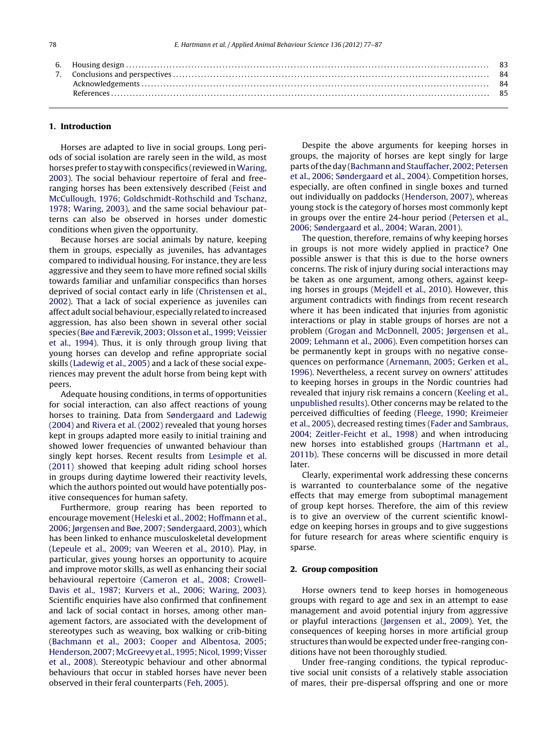#### **1. Introduction**

Horses are adapted to live in social groups. Long periods of social isolation are rarely seen in the wild, as most horses prefer to stay with conspecifics (reviewed in [Waring,](#page-10-0) [2003\).](#page-10-0) The social behaviour repertoire of feral and freeranging horses has been extensively described [\(Feist](#page-8-0) [and](#page-8-0) [McCullough,](#page-8-0) [1976;](#page-8-0) [Goldschmidt-Rothschild](#page-8-0) [and](#page-8-0) [Tschanz,](#page-8-0) [1978;](#page-8-0) [Waring,](#page-8-0) [2003\),](#page-8-0) and the same social behaviour patterns can also be observed in horses under domestic conditions when given the opportunity.

Because horses are social animals by nature, keeping them in groups, especially as juveniles, has advantages compared to individual housing. For instance, they are less aggressive and they seem to have more refined social skills towards familiar and unfamiliar conspecifics than horses deprived of social contact early in life ([Christensen](#page-8-0) et [al.,](#page-8-0) [2002\).](#page-8-0) That a lack of social experience as juveniles can affect adult social behaviour, especially related to increased aggression, has also been shown in several other social species [\(Bøe](#page-8-0) [and](#page-8-0) [Færevik,](#page-8-0) [2003;](#page-8-0) [Olsson](#page-8-0) et [al.,](#page-8-0) 1999; Veissier et [al.,](#page-8-0) [1994\).](#page-8-0) Thus, it is only through group living that young horses can develop and refine appropriate social skills ([Ladewig](#page-9-0) et [al.,](#page-9-0) [2005\)](#page-9-0) and a lack of these social experiences may prevent the adult horse from being kept with peers.

Adequate housing conditions, in terms of opportunities for social interaction, can also affect reactions of young horses to training. Data from [Søndergaard](#page-10-0) [and](#page-10-0) [Ladewig](#page-10-0) [\(2004\)](#page-10-0) and [Rivera](#page-10-0) et [al.](#page-10-0) [\(2002\)](#page-10-0) revealed that young horses kept in groups adapted more easily to initial training and showed lower frequencies of unwanted behaviour than singly kept horses. Recent results from [Lesimple](#page-9-0) et [al.](#page-9-0) [\(2011\)](#page-9-0) showed that keeping adult riding school horses in groups during daytime lowered their reactivity levels, which the authors pointed out would have potentially positive consequences for human safety.

Furthermore, group rearing has been reported to encourage movement[\(Heleski](#page-9-0) et [al.,](#page-9-0) [2002;](#page-9-0) [Hoffmann](#page-9-0) et [al.,](#page-9-0) [2006;](#page-9-0) [Jørgensen](#page-9-0) [and](#page-9-0) [Bøe,](#page-9-0) [2007;](#page-9-0) [Søndergaard,](#page-9-0) [2003\),](#page-9-0) which has been linked to enhance musculoskeletal development [\(Lepeule](#page-9-0) et [al.,](#page-9-0) [2009;](#page-9-0) [van](#page-9-0) [Weeren](#page-9-0) et [al.,](#page-9-0) [2010\).](#page-9-0) Play, in particular, gives young horses an opportunity to acquire and improve motor skills, as well as enhancing their social behavioural repertoire [\(Cameron](#page-8-0) et [al.,](#page-8-0) [2008;](#page-8-0) [Crowell-](#page-8-0)Davis et [al.,](#page-8-0) [1987;](#page-8-0) [Kurvers](#page-8-0) et [al.,](#page-8-0) [2006;](#page-8-0) [Waring,](#page-8-0) [2003\).](#page-8-0) Scientific enquiries have also confirmed that confinement and lack of social contact in horses, among other management factors, are associated with the development of stereotypes such as weaving, box walking or crib-biting [\(Bachmann](#page-8-0) et [al.,](#page-8-0) [2003;](#page-8-0) [Cooper](#page-8-0) [and](#page-8-0) [Albentosa,](#page-8-0) [2005;](#page-8-0) [Henderson,](#page-8-0) 2007; McGreevy et [al.,](#page-8-0) 1995; Nicol, 1999; Visser et [al.,](#page-8-0) [2008\).](#page-8-0) Stereotypic behaviour and other abnormal behaviours that occur in stabled horses have never been observed in their feral counterparts ([Feh,](#page-8-0) [2005\).](#page-8-0)

Despite the above arguments for keeping horses in groups, the majority of horses are kept singly for large parts of the day ([Bachmann](#page-8-0) [and](#page-8-0) [Stauffacher,](#page-8-0) [2002;](#page-8-0) [Petersen](#page-8-0) et [al.,](#page-8-0) [2006;](#page-8-0) [Søndergaard](#page-8-0) et [al.,](#page-8-0) [2004\).](#page-8-0) Competition horses, especially, are often confined in single boxes and turned out individually on paddocks ([Henderson,](#page-9-0) [2007\),](#page-9-0) whereas young stock is the category of horses most commonly kept in groups over the entire 24-hour period ([Petersen](#page-10-0) et [al.,](#page-10-0) [2006;](#page-10-0) [Søndergaard](#page-10-0) et [al.,](#page-10-0) [2004;](#page-10-0) [Waran,](#page-10-0) [2001\).](#page-10-0)

The question, therefore, remains of why keeping horses in groups is not more widely applied in practice? One possible answer is that this is due to the horse owners concerns. The risk of injury during social interactions may be taken as one argument, among others, against keeping horses in groups [\(Mejdell](#page-9-0) et [al.,](#page-9-0) [2010\).](#page-9-0) However, this argument contradicts with findings from recent research where it has been indicated that injuries from agonistic interactions or play in stable groups of horses are not a problem ([Grogan](#page-8-0) [and](#page-8-0) [McDonnell,](#page-8-0) [2005;](#page-8-0) [Jørgensen](#page-8-0) et [al.,](#page-8-0) [2009;](#page-8-0) [Lehmann](#page-8-0) et [al.,](#page-8-0) [2006\).](#page-8-0) Even competition horses can be permanently kept in groups with no negative consequences on performance [\(Arnemann,](#page-8-0) [2005;](#page-8-0) [Gerken](#page-8-0) et [al.,](#page-8-0) [1996\).](#page-8-0) Nevertheless, a recent survey on owners' attitudes to keeping horses in groups in the Nordic countries had revealed that injury risk remains a concern [\(Keeling](#page-9-0) et [al.,](#page-9-0) [unpublished](#page-9-0) [results\).](#page-9-0) Other concerns may be related to the perceived difficulties of feeding [\(Fleege,](#page-8-0) [1990;](#page-8-0) [Kreimeier](#page-8-0) et [al.,](#page-8-0) [2005\),](#page-8-0) decreased resting times ([Fader](#page-8-0) [and](#page-8-0) [Sambraus,](#page-8-0) [2004;](#page-8-0) [Zeitler-Feicht](#page-8-0) et [al.,](#page-8-0) [1998\)](#page-8-0) and when introducing new horses into established groups [\(Hartmann](#page-9-0) et [al.,](#page-9-0) [2011b\).](#page-9-0) These concerns will be discussed in more detail later.

Clearly, experimental work addressing these concerns is warranted to counterbalance some of the negative effects that may emerge from suboptimal management of group kept horses. Therefore, the aim of this review is to give an overview of the current scientific knowledge on keeping horses in groups and to give suggestions for future research for areas where scientific enquiry is sparse.

#### **2. Group composition**

Horse owners tend to keep horses in homogeneous groups with regard to age and sex in an attempt to ease management and avoid potential injury from aggressive or playful interactions [\(Jørgensen](#page-9-0) et [al.,](#page-9-0) [2009\).](#page-9-0) Yet, the consequences of keeping horses in more artificial group structures than would be expected under free-ranging conditions have not been thoroughly studied.

Under free-ranging conditions, the typical reproductive social unit consists of a relatively stable association of mares, their pre-dispersal offspring and one or more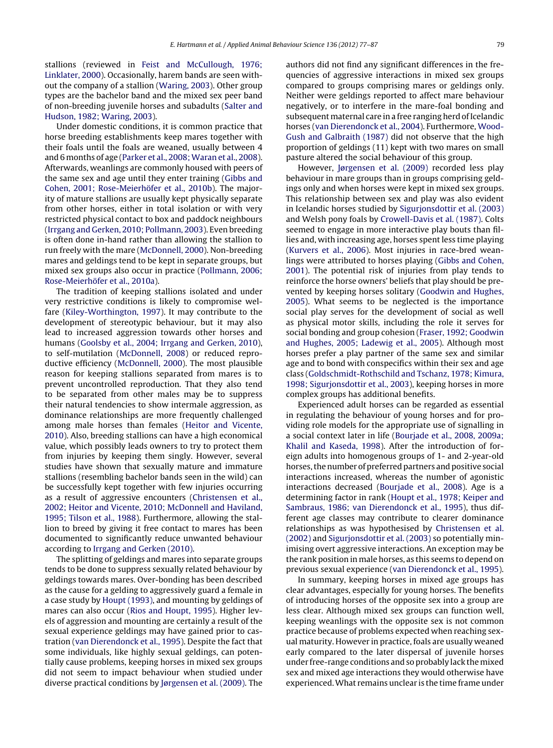stallions (reviewed in [Feist](#page-8-0) [and](#page-8-0) [McCullough,](#page-8-0) [1976;](#page-8-0) [Linklater,](#page-8-0) [2000\).](#page-8-0) Occasionally, harem bands are seen without the company of a stallion [\(Waring,](#page-10-0) [2003\).](#page-10-0) Other group types are the bachelor band and the mixed sex peer band of non-breeding juvenile horses and subadults ([Salter](#page-10-0) [and](#page-10-0) [Hudson,](#page-10-0) [1982;](#page-10-0) [Waring,](#page-10-0) [2003\).](#page-10-0)

Under domestic conditions, it is common practice that horse breeding establishments keep mares together with their foals until the foals are weaned, usually between 4 and 6 months of age ([Parker](#page-10-0) et [al.,](#page-10-0) 2008; Waran et al., [2008\).](#page-10-0) Afterwards, weanlings are commonly housed with peers of the same sex and age until they enter training ([Gibbs](#page-8-0) [and](#page-8-0) [Cohen,](#page-8-0) [2001;](#page-8-0) [Rose-Meierhöfer](#page-8-0) et [al.,](#page-8-0) [2010b\).](#page-8-0) The majority of mature stallions are usually kept physically separate from other horses, either in total isolation or with very restricted physical contact to box and paddock neighbours [\(Irrgang](#page-9-0) [and](#page-9-0) [Gerken,](#page-9-0) [2010;](#page-9-0) [Pollmann,](#page-9-0) [2003\).](#page-9-0) Even breeding is often done in-hand rather than allowing the stallion to run freely with the mare ([McDonnell,](#page-9-0) [2000\).](#page-9-0) Non-breeding mares and geldings tend to be kept in separate groups, but mixed sex groups also occur in practice [\(Pollmann,](#page-10-0) [2006;](#page-10-0) [Rose-Meierhöfer](#page-10-0) et [al.,](#page-10-0) [2010a\).](#page-10-0)

The tradition of keeping stallions isolated and under very restrictive conditions is likely to compromise welfare [\(Kiley-Worthington,](#page-9-0) [1997\).](#page-9-0) It may contribute to the development of stereotypic behaviour, but it may also lead to increased aggression towards other horses and humans [\(Goolsby](#page-8-0) et [al.,](#page-8-0) [2004;](#page-8-0) [Irrgang](#page-8-0) [and](#page-8-0) [Gerken,](#page-8-0) [2010\),](#page-8-0) to self-mutilation ([McDonnell,](#page-9-0) [2008\)](#page-9-0) or reduced reproductive efficiency ([McDonnell,](#page-9-0) [2000\).](#page-9-0) The most plausible reason for keeping stallions separated from mares is to prevent uncontrolled reproduction. That they also tend to be separated from other males may be to suppress their natural tendencies to show intermale aggression, as dominance relationships are more frequently challenged among male horses than females ([Heitor](#page-9-0) [and](#page-9-0) [Vicente,](#page-9-0) [2010\).](#page-9-0) Also, breeding stallions can have a high economical value, which possibly leads owners to try to protect them from injuries by keeping them singly. However, several studies have shown that sexually mature and immature stallions (resembling bachelor bands seen in the wild) can be successfully kept together with few injuries occurring as a result of aggressive encounters [\(Christensen](#page-8-0) et [al.,](#page-8-0) [2002;](#page-8-0) [Heitor](#page-8-0) [and](#page-8-0) [Vicente,](#page-8-0) [2010;](#page-8-0) [McDonnell](#page-8-0) [and](#page-8-0) [Haviland,](#page-8-0) [1995;](#page-8-0) [Tilson](#page-8-0) et [al.,](#page-8-0) [1988\).](#page-8-0) Furthermore, allowing the stallion to breed by giving it free contact to mares has been documented to significantly reduce unwanted behaviour according to [Irrgang](#page-9-0) [and](#page-9-0) [Gerken](#page-9-0) [\(2010\).](#page-9-0)

The splitting of geldings and mares into separate groups tends to be done to suppress sexually related behaviour by geldings towards mares. Over-bonding has been described as the cause for a gelding to aggressively guard a female in a case study by [Houpt](#page-9-0) [\(1993\),](#page-9-0) and mounting by geldings of mares can also occur ([Rios](#page-10-0) [and](#page-10-0) [Houpt,](#page-10-0) [1995\).](#page-10-0) Higher levels of aggression and mounting are certainly a result of the sexual experience geldings may have gained prior to castration ([van](#page-10-0) [Dierendonck](#page-10-0) et [al.,](#page-10-0) [1995\).](#page-10-0) Despite the fact that some individuals, like highly sexual geldings, can potentially cause problems, keeping horses in mixed sex groups did not seem to impact behaviour when studied under diverse practical conditions by [Jørgensen](#page-9-0) et [al.](#page-9-0) [\(2009\).](#page-9-0) The authors did not find any significant differences in the frequencies of aggressive interactions in mixed sex groups compared to groups comprising mares or geldings only. Neither were geldings reported to affect mare behaviour negatively, or to interfere in the mare-foal bonding and subsequent maternal care in a free ranging herd of Icelandic horses ([van](#page-10-0) [Dierendonck](#page-10-0) et [al.,](#page-10-0) [2004\).](#page-10-0) Furthermore, [Wood-](#page-10-0)Gush [and](#page-10-0) [Galbraith](#page-10-0) [\(1987\)](#page-10-0) did not observe that the high proportion of geldings (11) kept with two mares on small pasture altered the social behaviour of this group.

However, [Jørgensen](#page-9-0) et [al.](#page-9-0) [\(2009\)](#page-9-0) recorded less play behaviour in mare groups than in groups comprising geldings only and when horses were kept in mixed sex groups. This relationship between sex and play was also evident in Icelandic horses studied by [Sigurjonsdottir](#page-10-0) et [al.](#page-10-0) [\(2003\)](#page-10-0) and Welsh pony foals by [Crowell-Davis](#page-8-0) et [al.](#page-8-0) [\(1987\).](#page-8-0) Colts seemed to engage in more interactive play bouts than fillies and, with increasing age, horses spent less time playing [\(Kurvers](#page-9-0) et [al.,](#page-9-0) [2006\).](#page-9-0) Most injuries in race-bred weanlings were attributed to horses playing [\(Gibbs](#page-8-0) [and](#page-8-0) [Cohen,](#page-8-0) [2001\).](#page-8-0) The potential risk of injuries from play tends to reinforce the horse owners' beliefs that play should be prevented by keeping horses solitary [\(Goodwin](#page-8-0) [and](#page-8-0) [Hughes,](#page-8-0) [2005\).](#page-8-0) What seems to be neglected is the importance social play serves for the development of social as well as physical motor skills, including the role it serves for social bonding and group cohesion ([Fraser,](#page-8-0) [1992;](#page-8-0) [Goodwin](#page-8-0) [and](#page-8-0) [Hughes,](#page-8-0) [2005;](#page-8-0) [Ladewig](#page-8-0) et [al.,](#page-8-0) [2005\).](#page-8-0) Although most horses prefer a play partner of the same sex and similar age and to bond with conspecifics within their sex and age class ([Goldschmidt-Rothschild](#page-8-0) [and](#page-8-0) [Tschanz,](#page-8-0) [1978;](#page-8-0) [Kimura,](#page-8-0) [1998;](#page-8-0) [Sigurjonsdottir](#page-8-0) et [al.,](#page-8-0) [2003\),](#page-8-0) keeping horses in more complex groups has additional benefits.

Experienced adult horses can be regarded as essential in regulating the behaviour of young horses and for providing role models for the appropriate use of signalling in a social context later in life ([Bourjade](#page-8-0) et [al.,](#page-8-0) [2008,](#page-8-0) [2009a;](#page-8-0) [Khalil](#page-8-0) [and](#page-8-0) [Kaseda,](#page-8-0) [1998\).](#page-8-0) After the introduction of foreign adults into homogenous groups of 1- and 2-year-old horses, the number of preferred partners and positive social interactions increased, whereas the number of agonistic interactions decreased [\(Bourjade](#page-8-0) et [al.,](#page-8-0) [2008\).](#page-8-0) Age is a determining factor in rank ([Houpt](#page-9-0) et [al.,](#page-9-0) [1978;](#page-9-0) [Keiper](#page-9-0) [and](#page-9-0) [Sambraus,](#page-9-0) [1986;](#page-9-0) [van](#page-9-0) [Dierendonck](#page-9-0) et [al.,](#page-9-0) [1995\),](#page-9-0) thus different age classes may contribute to clearer dominance relationships as was hypothesised by [Christensen](#page-8-0) et [al.](#page-8-0) [\(2002\)](#page-8-0) and [Sigurjonsdottir](#page-10-0) et [al.](#page-10-0) [\(2003\)](#page-10-0) so potentially minimising overt aggressive interactions. An exception may be the rank position in male horses, as this seems to depend on previous sexual experience [\(van](#page-10-0) [Dierendonck](#page-10-0) et [al.,](#page-10-0) [1995\).](#page-10-0)

In summary, keeping horses in mixed age groups has clear advantages, especially for young horses. The benefits of introducing horses of the opposite sex into a group are less clear. Although mixed sex groups can function well, keeping weanlings with the opposite sex is not common practice because of problems expected when reaching sexual maturity. However in practice, foals are usually weaned early compared to the later dispersal of juvenile horses under free-range conditions and so probably lack themixed sex and mixed age interactions they would otherwise have experienced.What remains unclear is the time frame under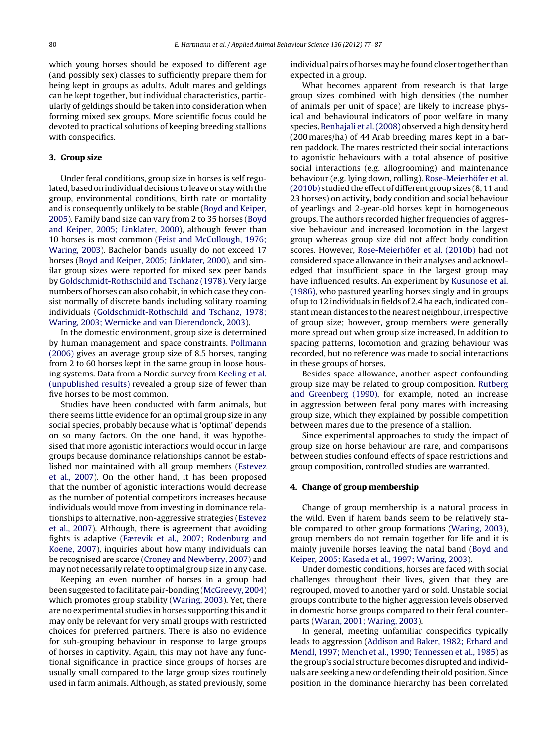which young horses should be exposed to different age (and possibly sex) classes to sufficiently prepare them for being kept in groups as adults. Adult mares and geldings can be kept together, but individual characteristics, particularly of geldings should be taken into consideration when forming mixed sex groups. More scientific focus could be devoted to practical solutions of keeping breeding stallions with conspecifics.

#### **3. Group size**

Under feral conditions, group size in horses is self regulated, based on individual decisions to leave or stay with the group, environmental conditions, birth rate or mortality and is consequently unlikely to be stable ([Boyd](#page-8-0) [and](#page-8-0) [Keiper,](#page-8-0) [2005\).](#page-8-0) Family band size can vary from 2 to 35 horses [\(Boyd](#page-8-0) [and](#page-8-0) [Keiper,](#page-8-0) [2005;](#page-8-0) [Linklater,](#page-8-0) [2000\),](#page-8-0) although fewer than 10 horses is most common ([Feist](#page-8-0) [and](#page-8-0) [McCullough,](#page-8-0) [1976;](#page-8-0) [Waring,](#page-8-0) [2003\).](#page-8-0) Bachelor bands usually do not exceed 17 horses ([Boyd](#page-8-0) [and](#page-8-0) [Keiper,](#page-8-0) [2005;](#page-8-0) [Linklater,](#page-8-0) [2000\),](#page-8-0) and similar group sizes were reported for mixed sex peer bands by [Goldschmidt-Rothschild](#page-8-0) [and](#page-8-0) [Tschanz](#page-8-0) [\(1978\).](#page-8-0) Very large numbers of horses can also cohabit, in which case they consist normally of discrete bands including solitary roaming individuals [\(Goldschmidt-Rothschild](#page-8-0) [and](#page-8-0) [Tschanz,](#page-8-0) [1978;](#page-8-0) [Waring,](#page-8-0) [2003;](#page-8-0) [Wernicke](#page-8-0) [and](#page-8-0) [van](#page-8-0) [Dierendonck,](#page-8-0) [2003\).](#page-8-0)

In the domestic environment, group size is determined by human management and space constraints. [Pollmann](#page-10-0) [\(2006\)](#page-10-0) gives an average group size of 8.5 horses, ranging from 2 to 60 horses kept in the same group in loose housing systems. Data from a Nordic survey from [Keeling](#page-9-0) et [al.](#page-9-0) [\(unpublished](#page-9-0) [results\)](#page-9-0) revealed a group size of fewer than five horses to be most common.

Studies have been conducted with farm animals, but there seems little evidence for an optimal group size in any social species, probably because what is 'optimal' depends on so many factors. On the one hand, it was hypothesised that more agonistic interactions would occur in large groups because dominance relationships cannot be established nor maintained with all group members ([Estevez](#page-8-0) et [al.,](#page-8-0) [2007\).](#page-8-0) On the other hand, it has been proposed that the number of agonistic interactions would decrease as the number of potential competitors increases because individuals would move from investing in dominance relationships to alternative, non-aggressive strategies ([Estevez](#page-8-0) et [al.,](#page-8-0) [2007\).](#page-8-0) Although, there is agreement that avoiding fights is adaptive ([Færevik](#page-8-0) et [al.,](#page-8-0) [2007;](#page-8-0) [Rodenburg](#page-8-0) [and](#page-8-0) [Koene,](#page-8-0) [2007\),](#page-8-0) inquiries about how many individuals can be recognised are scarce ([Croney](#page-8-0) [and](#page-8-0) [Newberry,](#page-8-0) [2007\)](#page-8-0) and may not necessarily relate to optimal group size in any case.

Keeping an even number of horses in a group had been suggested to facilitate pair-bonding [\(McGreevy,](#page-9-0) [2004\)](#page-9-0) which promotes group stability ([Waring,](#page-10-0) [2003\).](#page-10-0) Yet, there are no experimental studies in horses supporting this and it may only be relevant for very small groups with restricted choices for preferred partners. There is also no evidence for sub-grouping behaviour in response to large groups of horses in captivity. Again, this may not have any functional significance in practice since groups of horses are usually small compared to the large group sizes routinely used in farm animals. Although, as stated previously, some

individual pairs of horses may be found closer together than expected in a group.

What becomes apparent from research is that large group sizes combined with high densities (the number of animals per unit of space) are likely to increase physical and behavioural indicators of poor welfare in many species. [Benhajali](#page-8-0) et [al.\(2008\)](#page-8-0) observed a high density herd (200 mares/ha) of 44 Arab breeding mares kept in a barren paddock. The mares restricted their social interactions to agonistic behaviours with a total absence of positive social interactions (e.g. allogrooming) and maintenance behaviour (e.g. lying down, rolling). [Rose-Meierhöfer](#page-10-0) et [al.](#page-10-0) [\(2010b\)](#page-10-0) studied the effect of different group sizes (8, 11 and 23 horses) on activity, body condition and social behaviour of yearlings and 2-year-old horses kept in homogeneous groups. The authors recorded higher frequencies of aggressive behaviour and increased locomotion in the largest group whereas group size did not affect body condition scores. However, [Rose-Meierhöfer](#page-10-0) et [al.](#page-10-0) [\(2010b\)](#page-10-0) had not considered space allowance in their analyses and acknowledged that insufficient space in the largest group may have influenced results. An experiment by [Kusunose](#page-9-0) et [al.](#page-9-0) [\(1986\),](#page-9-0) who pastured yearling horses singly and in groups of up to 12 individuals infields of 2.4 ha each, indicated constant mean distances to the nearest neighbour, irrespective of group size; however, group members were generally more spread out when group size increased. In addition to spacing patterns, locomotion and grazing behaviour was recorded, but no reference was made to social interactions in these groups of horses.

Besides space allowance, another aspect confounding group size may be related to group composition. [Rutberg](#page-10-0) [and](#page-10-0) [Greenberg](#page-10-0) [\(1990\),](#page-10-0) for example, noted an increase in aggression between feral pony mares with increasing group size, which they explained by possible competition between mares due to the presence of a stallion.

Since experimental approaches to study the impact of group size on horse behaviour are rare, and comparisons between studies confound effects of space restrictions and group composition, controlled studies are warranted.

#### **4. Change of group membership**

Change of group membership is a natural process in the wild. Even if harem bands seem to be relatively stable compared to other group formations [\(Waring,](#page-10-0) [2003\),](#page-10-0) group members do not remain together for life and it is mainly juvenile horses leaving the natal band [\(Boyd](#page-8-0) [and](#page-8-0) [Keiper,](#page-8-0) [2005;](#page-8-0) [Kaseda](#page-8-0) et [al.,](#page-8-0) [1997;](#page-8-0) [Waring,](#page-8-0) [2003\).](#page-8-0)

Under domestic conditions, horses are faced with social challenges throughout their lives, given that they are regrouped, moved to another yard or sold. Unstable social groups contribute to the higher aggression levels observed in domestic horse groups compared to their feral counterparts ([Waran,](#page-10-0) [2001;](#page-10-0) [Waring,](#page-10-0) [2003\).](#page-10-0)

In general, meeting unfamiliar conspecifics typically leads to aggression ([Addison](#page-8-0) [and](#page-8-0) [Baker,](#page-8-0) [1982;](#page-8-0) [Erhard](#page-8-0) [and](#page-8-0) [Mendl,](#page-8-0) [1997;](#page-8-0) [Mench](#page-8-0) et [al.,](#page-8-0) [1990;](#page-8-0) [Tennessen](#page-8-0) et [al.,](#page-8-0) [1985\)](#page-8-0) as the group's social structure becomes disrupted and individuals are seeking a new or defending their old position. Since position in the dominance hierarchy has been correlated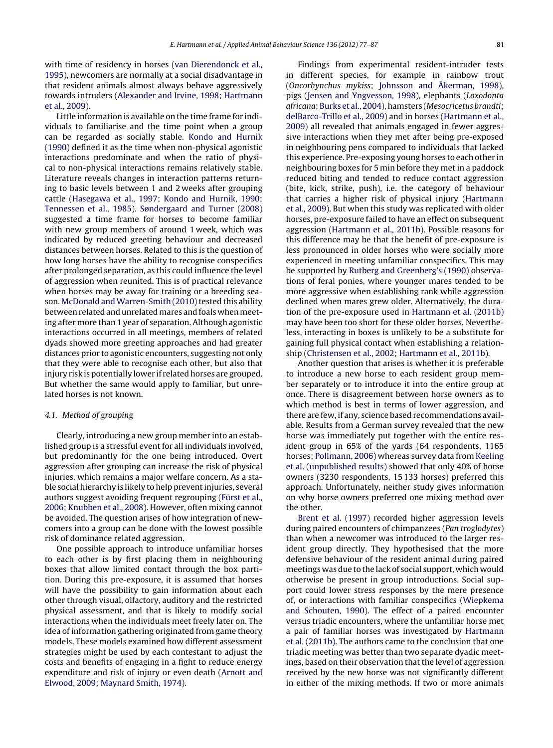with time of residency in horses ([van](#page-10-0) [Dierendonck](#page-10-0) et [al.,](#page-10-0) [1995\),](#page-10-0) newcomers are normally at a social disadvantage in that resident animals almost always behave aggressively towards intruders ([Alexander](#page-8-0) [and](#page-8-0) [Irvine,](#page-8-0) [1998;](#page-8-0) [Hartmann](#page-8-0) et [al.,](#page-8-0) [2009\).](#page-8-0)

Little information is available on the time frame for individuals to familiarise and the time point when a group can be regarded as socially stable. [Kondo](#page-9-0) [and](#page-9-0) [Hurnik](#page-9-0) [\(1990\)](#page-9-0) defined it as the time when non-physical agonistic interactions predominate and when the ratio of physical to non-physical interactions remains relatively stable. Literature reveals changes in interaction patterns returning to basic levels between 1 and 2 weeks after grouping cattle ([Hasegawa](#page-9-0) et [al.,](#page-9-0) [1997;](#page-9-0) [Kondo](#page-9-0) [and](#page-9-0) [Hurnik,](#page-9-0) [1990;](#page-9-0) [Tennessen](#page-9-0) et [al.,](#page-9-0) [1985\).](#page-9-0) [Søndergaard](#page-10-0) [and](#page-10-0) [Turner](#page-10-0) [\(2008\)](#page-10-0) suggested a time frame for horses to become familiar with new group members of around 1 week, which was indicated by reduced greeting behaviour and decreased distances between horses. Related to this is the question of how long horses have the ability to recognise conspecifics after prolonged separation, as this could influence the level of aggression when reunited. This is of practical relevance when horses may be away for training or a breeding sea-son. [McDonald](#page-9-0) and Warren-Smith (2010) tested this ability between related and unrelated mares and foals when meeting after more than 1 year of separation. Although agonistic interactions occurred in all meetings, members of related dyads showed more greeting approaches and had greater distances prior to agonistic encounters, suggesting not only that they were able to recognise each other, but also that injury risk is potentially lower if related horses are grouped. But whether the same would apply to familiar, but unrelated horses is not known.

#### 4.1. Method of grouping

Clearly, introducing a new group member into an established group is a stressful event for all individuals involved, but predominantly for the one being introduced. Overt aggression after grouping can increase the risk of physical injuries, which remains a major welfare concern. As a stable social hierarchy is likely to help prevent injuries, several authors suggest avoiding frequent regrouping [\(Fürst](#page-8-0) et [al.,](#page-8-0) [2006;](#page-8-0) [Knubben](#page-8-0) et [al.,](#page-8-0) [2008\).](#page-8-0) However, often mixing cannot be avoided. The question arises of how integration of newcomers into a group can be done with the lowest possible risk of dominance related aggression.

One possible approach to introduce unfamiliar horses to each other is by first placing them in neighbouring boxes that allow limited contact through the box partition. During this pre-exposure, it is assumed that horses will have the possibility to gain information about each other through visual, olfactory, auditory and the restricted physical assessment, and that is likely to modify social interactions when the individuals meet freely later on. The idea of information gathering originated from game theory models. These models examined how different assessment strategies might be used by each contestant to adjust the costs and benefits of engaging in a fight to reduce energy expenditure and risk of injury or even death [\(Arnott](#page-8-0) [and](#page-8-0) [Elwood,](#page-8-0) [2009;](#page-8-0) [Maynard](#page-8-0) [Smith,](#page-8-0) [1974\).](#page-8-0)

Findings from experimental resident-intruder tests in different species, for example in rainbow trout (Oncorhynchus mykiss; [Johnsson](#page-9-0) [and](#page-9-0) [Åkerman,](#page-9-0) [1998\),](#page-9-0) pigs ([Jensen](#page-9-0) [and](#page-9-0) [Yngvesson,](#page-9-0) [1998\),](#page-9-0) elephants (Loxodonta africana; [Burks](#page-8-0) et [al.,](#page-8-0) [2004\),](#page-8-0) hamsters (Mesocricetus brandti; [delBarco-Trillo](#page-8-0) et [al.,](#page-8-0) [2009\)](#page-8-0) and in horses [\(Hartmann](#page-9-0) et [al.,](#page-9-0) [2009\)](#page-9-0) all revealed that animals engaged in fewer aggressive interactions when they met after being pre-exposed in neighbouring pens compared to individuals that lacked this experience. Pre-exposing young horses to each other in neighbouring boxes for 5 min before they met in a paddock reduced biting and tended to reduce contact aggression (bite, kick, strike, push), i.e. the category of behaviour that carries a higher risk of physical injury [\(Hartmann](#page-9-0) et [al.,](#page-9-0) [2009\).](#page-9-0) But when this study was replicated with older horses, pre-exposure failed to have an effect on subsequent aggression ([Hartmann](#page-9-0) et [al.,](#page-9-0) [2011b\).](#page-9-0) Possible reasons for this difference may be that the benefit of pre-exposure is less pronounced in older horses who were socially more experienced in meeting unfamiliar conspecifics. This may be supported by [Rutberg](#page-10-0) [and](#page-10-0) [Greenberg's](#page-10-0) [\(1990\)](#page-10-0) observations of feral ponies, where younger mares tended to be more aggressive when establishing rank while aggression declined when mares grew older. Alternatively, the duration of the pre-exposure used in [Hartmann](#page-9-0) et [al.](#page-9-0) [\(2011b\)](#page-9-0) may have been too short for these older horses. Nevertheless, interacting in boxes is unlikely to be a substitute for gaining full physical contact when establishing a relationship [\(Christensen](#page-8-0) et [al.,](#page-8-0) [2002;](#page-8-0) [Hartmann](#page-8-0) et [al.,](#page-8-0) [2011b\).](#page-8-0)

Another question that arises is whether it is preferable to introduce a new horse to each resident group member separately or to introduce it into the entire group at once. There is disagreement between horse owners as to which method is best in terms of lower aggression, and there are few, if any, science based recommendations available. Results from a German survey revealed that the new horse was immediately put together with the entire resident group in 65% of the yards (64 respondents, 1165 horses; [Pollmann,](#page-10-0) [2006\)](#page-10-0) whereas survey data from [Keeling](#page-9-0) et [al.](#page-9-0) [\(unpublished](#page-9-0) [results\)](#page-9-0) showed that only 40% of horse owners (3230 respondents, 15 133 horses) preferred this approach. Unfortunately, neither study gives information on why horse owners preferred one mixing method over the other.

[Brent](#page-8-0) et [al.](#page-8-0) [\(1997\)](#page-8-0) recorded higher aggression levels during paired encounters of chimpanzees (Pan troglodytes) than when a newcomer was introduced to the larger resident group directly. They hypothesised that the more defensive behaviour of the resident animal during paired meetings was due to the lack of social support, which would otherwise be present in group introductions. Social support could lower stress responses by the mere presence of, or interactions with familiar conspecifics ([Wiepkema](#page-10-0) [and](#page-10-0) [Schouten,](#page-10-0) [1990\).](#page-10-0) The effect of a paired encounter versus triadic encounters, where the unfamiliar horse met a pair of familiar horses was investigated by [Hartmann](#page-9-0) et [al.](#page-9-0) [\(2011b\).](#page-9-0) The authors came to the conclusion that one triadic meeting was better than two separate dyadic meetings, based on their observation that the level of aggression received by the new horse was not significantly different in either of the mixing methods. If two or more animals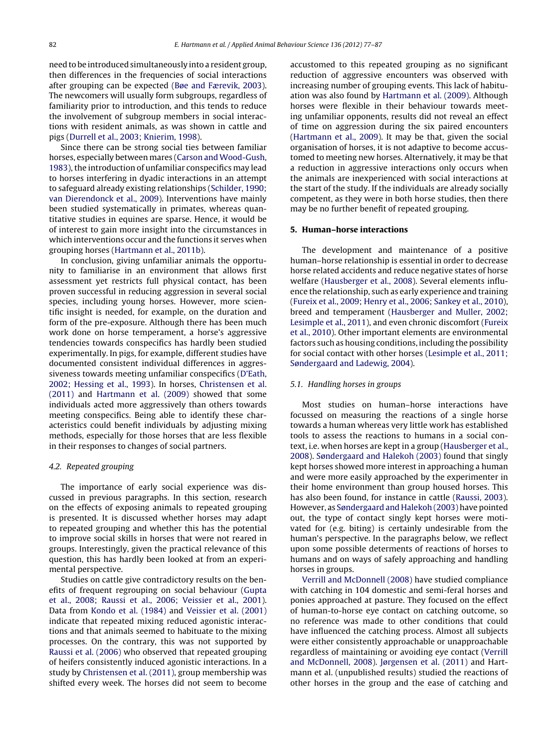needto be introducedsimultaneously into a resident group, then differences in the frequencies of social interactions after grouping can be expected ([Bøe](#page-8-0) [and](#page-8-0) [Færevik,](#page-8-0) [2003\).](#page-8-0) The newcomers will usually form subgroups, regardless of familiarity prior to introduction, and this tends to reduce the involvement of subgroup members in social interactions with resident animals, as was shown in cattle and pigs [\(Durrell](#page-8-0) et [al.,](#page-8-0) [2003;](#page-8-0) [Knierim,](#page-8-0) [1998\).](#page-8-0)

Since there can be strong social ties between familiar horses, especially between mares [\(Carson](#page-8-0) [and](#page-8-0) [Wood-Gush,](#page-8-0) [1983\),](#page-8-0) the introduction of unfamiliar conspecifics may lead to horses interfering in dyadic interactions in an attempt to safeguard already existing relationships ([Schilder,](#page-10-0) [1990;](#page-10-0) [van](#page-10-0) [Dierendonck](#page-10-0) et [al.,](#page-10-0) [2009\).](#page-10-0) Interventions have mainly been studied systematically in primates, whereas quantitative studies in equines are sparse. Hence, it would be of interest to gain more insight into the circumstances in which interventions occur and the functions it serves when grouping horses ([Hartmann](#page-9-0) et [al.,](#page-9-0) [2011b\).](#page-9-0)

In conclusion, giving unfamiliar animals the opportunity to familiarise in an environment that allows first assessment yet restricts full physical contact, has been proven successful in reducing aggression in several social species, including young horses. However, more scientific insight is needed, for example, on the duration and form of the pre-exposure. Although there has been much work done on horse temperament, a horse's aggressive tendencies towards conspecifics has hardly been studied experimentally. In pigs, for example, different studies have documented consistent individual differences in aggressiveness towards meeting unfamiliar conspecifics ([D'Eath,](#page-8-0) [2002;](#page-8-0) [Hessing](#page-8-0) et [al.,](#page-8-0) [1993\).](#page-8-0) In horses, [Christensen](#page-8-0) et [al.](#page-8-0) [\(2011\)](#page-8-0) and [Hartmann](#page-9-0) et [al.](#page-9-0) [\(2009\)](#page-9-0) showed that some individuals acted more aggressively than others towards meeting conspecifics. Being able to identify these characteristics could benefit individuals by adjusting mixing methods, especially for those horses that are less flexible in their responses to changes of social partners.

#### 4.2. Repeated grouping

The importance of early social experience was discussed in previous paragraphs. In this section, research on the effects of exposing animals to repeated grouping is presented. It is discussed whether horses may adapt to repeated grouping and whether this has the potential to improve social skills in horses that were not reared in groups. Interestingly, given the practical relevance of this question, this has hardly been looked at from an experimental perspective.

Studies on cattle give contradictory results on the benefits of frequent regrouping on social behaviour [\(Gupta](#page-8-0) et [al.,](#page-8-0) [2008;](#page-8-0) [Raussi](#page-8-0) et [al.,](#page-8-0) [2006;](#page-8-0) [Veissier](#page-8-0) et [al.,](#page-8-0) [2001\).](#page-8-0) Data from [Kondo](#page-9-0) et [al.](#page-9-0) [\(1984\)](#page-9-0) and [Veissier](#page-10-0) et [al.](#page-10-0) [\(2001\)](#page-10-0) indicate that repeated mixing reduced agonistic interactions and that animals seemed to habituate to the mixing processes. On the contrary, this was not supported by [Raussi](#page-10-0) et [al.](#page-10-0) [\(2006\)](#page-10-0) who observed that repeated grouping of heifers consistently induced agonistic interactions. In a study by [Christensen](#page-8-0) et [al.](#page-8-0) [\(2011\),](#page-8-0) group membership was shifted every week. The horses did not seem to become

accustomed to this repeated grouping as no significant reduction of aggressive encounters was observed with increasing number of grouping events. This lack of habituation was also found by [Hartmann](#page-9-0) et [al.](#page-9-0) [\(2009\).](#page-9-0) Although horses were flexible in their behaviour towards meeting unfamiliar opponents, results did not reveal an effect of time on aggression during the six paired encounters [\(Hartmann](#page-9-0) et [al.,](#page-9-0) [2009\).](#page-9-0) It may be that, given the social organisation of horses, it is not adaptive to become accustomed to meeting new horses. Alternatively, it may be that a reduction in aggressive interactions only occurs when the animals are inexperienced with social interactions at the start of the study. If the individuals are already socially competent, as they were in both horse studies, then there may be no further benefit of repeated grouping.

#### **5. Human–horse interactions**

The development and maintenance of a positive human–horse relationship is essential in order to decrease horse related accidents and reduce negative states of horse welfare ([Hausberger](#page-9-0) et [al.,](#page-9-0) [2008\).](#page-9-0) Several elements influence the relationship, such as early experience and training [\(Fureix](#page-8-0) et [al.,](#page-8-0) [2009;](#page-8-0) [Henry](#page-8-0) et [al.,](#page-8-0) [2006;](#page-8-0) [Sankey](#page-8-0) et [al.,](#page-8-0) [2010\),](#page-8-0) breed and temperament ([Hausberger](#page-9-0) [and](#page-9-0) [Muller,](#page-9-0) [2002;](#page-9-0) [Lesimple](#page-9-0) et [al.,](#page-9-0) [2011\),](#page-9-0) and even chronic discomfort [\(Fureix](#page-8-0) et [al.,](#page-8-0) [2010\).](#page-8-0) Other important elements are environmental factors such as housing conditions, including the possibility for social contact with other horses [\(Lesimple](#page-9-0) et [al.,](#page-9-0) [2011;](#page-9-0) [Søndergaard](#page-9-0) [and](#page-9-0) [Ladewig,](#page-9-0) [2004\).](#page-9-0)

#### 5.1. Handling horses in groups

Most studies on human–horse interactions have focussed on measuring the reactions of a single horse towards a human whereas very little work has established tools to assess the reactions to humans in a social context, i.e. when horses are kept in a group [\(Hausberger](#page-9-0) et [al.,](#page-9-0) [2008\).](#page-9-0) [Søndergaard](#page-10-0) [and](#page-10-0) [Halekoh](#page-10-0) [\(2003\)](#page-10-0) found that singly kept horses showed more interest in approaching a human and were more easily approached by the experimenter in their home environment than group housed horses. This has also been found, for instance in cattle [\(Raussi,](#page-10-0) [2003\).](#page-10-0) However, as [Søndergaard](#page-10-0) [and](#page-10-0) [Halekoh](#page-10-0) [\(2003\)](#page-10-0) have pointed out, the type of contact singly kept horses were motivated for (e.g. biting) is certainly undesirable from the human's perspective. In the paragraphs below, we reflect upon some possible determents of reactions of horses to humans and on ways of safely approaching and handling horses in groups.

[Verrill](#page-10-0) [and](#page-10-0) [McDonnell](#page-10-0) [\(2008\)](#page-10-0) have studied compliance with catching in 104 domestic and semi-feral horses and ponies approached at pasture. They focused on the effect of human-to-horse eye contact on catching outcome, so no reference was made to other conditions that could have influenced the catching process. Almost all subjects were either consistently approachable or unapproachable regardless of maintaining or avoiding eye contact [\(Verrill](#page-10-0) [and](#page-10-0) [McDonnell,](#page-10-0) [2008\).](#page-10-0) [Jørgensen](#page-9-0) et [al.](#page-9-0) [\(2011\)](#page-9-0) and Hartmann et al. (unpublished results) studied the reactions of other horses in the group and the ease of catching and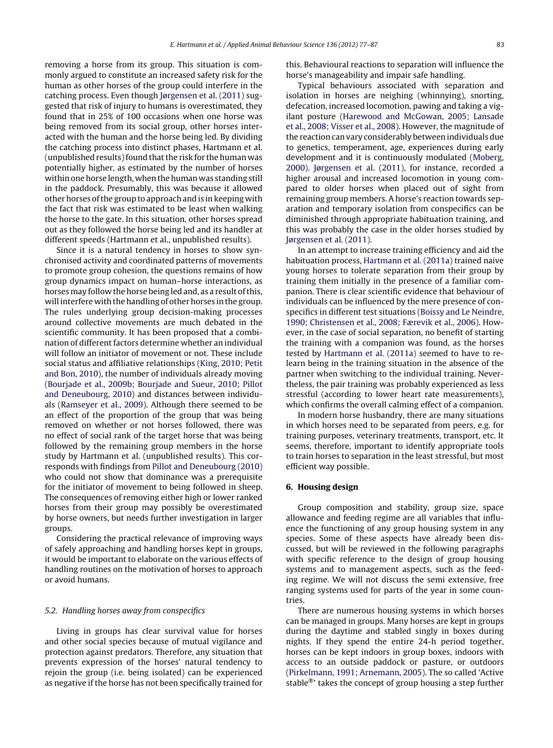removing a horse from its group. This situation is commonly argued to constitute an increased safety risk for the human as other horses of the group could interfere in the catching process. Even though [Jørgensen](#page-9-0) et [al.](#page-9-0) [\(2011\)](#page-9-0) suggested that risk of injury to humans is overestimated, they found that in 25% of 100 occasions when one horse was being removed from its social group, other horses interacted with the human and the horse being led. By dividing the catching process into distinct phases, Hartmann et al. (unpublished results) found that the risk for the human was potentially higher, as estimated by the number of horses within one horse length, when the human was standing still in the paddock. Presumably, this was because it allowed other horses ofthe group to approach and is in keeping with the fact that risk was estimated to be least when walking the horse to the gate. In this situation, other horses spread out as they followed the horse being led and its handler at different speeds (Hartmann et al., unpublished results).

Since it is a natural tendency in horses to show synchronised activity and coordinated patterns of movements to promote group cohesion, the questions remains of how group dynamics impact on human–horse interactions, as horses may follow the horse being led and, as a result of this, will interfere with the handling of other horses in the group. The rules underlying group decision-making processes around collective movements are much debated in the scientific community. It has been proposed that a combination of different factors determine whether an individual will follow an initiator of movement or not. These include social status and affiliative relationships ([King,](#page-9-0) [2010;](#page-9-0) [Petit](#page-9-0) [and](#page-9-0) [Bon,](#page-9-0) [2010\),](#page-9-0) the number of individuals already moving [\(Bourjade](#page-8-0) et [al.,](#page-8-0) [2009b;](#page-8-0) [Bourjade](#page-8-0) [and](#page-8-0) [Sueur,](#page-8-0) [2010;](#page-8-0) [Pillot](#page-8-0) [and](#page-8-0) [Deneubourg,](#page-8-0) [2010\)](#page-8-0) and distances between individuals [\(Ramseyer](#page-10-0) et [al.,](#page-10-0) [2009\).](#page-10-0) Although there seemed to be an effect of the proportion of the group that was being removed on whether or not horses followed, there was no effect of social rank of the target horse that was being followed by the remaining group members in the horse study by Hartmann et al. (unpublished results). This corresponds with findings from [Pillot](#page-10-0) [and](#page-10-0) [Deneubourg](#page-10-0) [\(2010\)](#page-10-0) who could not show that dominance was a prerequisite for the initiator of movement to being followed in sheep. The consequences of removing either high or lower ranked horses from their group may possibly be overestimated by horse owners, but needs further investigation in larger groups.

Considering the practical relevance of improving ways of safely approaching and handling horses kept in groups, it would be important to elaborate on the various effects of handling routines on the motivation of horses to approach or avoid humans.

#### 5.2. Handling horses away from conspecifics

Living in groups has clear survival value for horses and other social species because of mutual vigilance and protection against predators. Therefore, any situation that prevents expression of the horses' natural tendency to rejoin the group (i.e. being isolated) can be experienced as negative if the horse has not been specifically trained for this. Behavioural reactions to separation will influence the horse's manageability and impair safe handling.

Typical behaviours associated with separation and isolation in horses are neighing (whinnying), snorting, defecation, increased locomotion, pawing and taking a vigilant posture ([Harewood](#page-8-0) [and](#page-8-0) [McGowan,](#page-8-0) [2005;](#page-8-0) [Lansade](#page-8-0) et [al.,](#page-8-0) [2008;](#page-8-0) [Visser](#page-8-0) et [al.,](#page-8-0) [2008\).](#page-8-0) However, the magnitude of the reaction can vary considerably between individuals due to genetics, temperament, age, experiences during early development and it is continuously modulated ([Moberg,](#page-10-0) [2000\).](#page-10-0) [Jørgensen](#page-9-0) et [al.](#page-9-0) [\(2011\),](#page-9-0) for instance, recorded a higher arousal and increased locomotion in young compared to older horses when placed out of sight from remaining group members. A horse's reaction towards separation and temporary isolation from conspecifics can be diminished through appropriate habituation training, and this was probably the case in the older horses studied by [Jørgensen](#page-9-0) et [al.](#page-9-0) [\(2011\).](#page-9-0)

In an attempt to increase training efficiency and aid the habituation process, [Hartmann](#page-9-0) et [al.](#page-9-0) [\(2011a\)](#page-9-0) trained naive young horses to tolerate separation from their group by training them initially in the presence of a familiar companion. There is clear scientific evidence that behaviour of individuals can be influenced by the mere presence of conspecifics in different test situations ([Boissy](#page-8-0) [and](#page-8-0) [Le](#page-8-0) [Neindre,](#page-8-0) [1990;](#page-8-0) [Christensen](#page-8-0) et [al.,](#page-8-0) [2008;](#page-8-0) [Færevik](#page-8-0) et [al.,](#page-8-0) [2006\).](#page-8-0) However, in the case of social separation, no benefit of starting the training with a companion was found, as the horses tested by [Hartmann](#page-9-0) et [al.](#page-9-0) [\(2011a\)](#page-9-0) seemed to have to relearn being in the training situation in the absence of the partner when switching to the individual training. Nevertheless, the pair training was probably experienced as less stressful (according to lower heart rate measurements), which confirms the overall calming effect of a companion.

In modern horse husbandry, there are many situations in which horses need to be separated from peers, e.g. for training purposes, veterinary treatments, transport, etc. It seems, therefore, important to identify appropriate tools to train horses to separation in the least stressful, but most efficient way possible.

#### **6. Housing design**

Group composition and stability, group size, space allowance and feeding regime are all variables that influence the functioning of any group housing system in any species. Some of these aspects have already been discussed, but will be reviewed in the following paragraphs with specific reference to the design of group housing systems and to management aspects, such as the feeding regime. We will not discuss the semi extensive, free ranging systems used for parts of the year in some countries.

There are numerous housing systems in which horses can be managed in groups. Many horses are kept in groups during the daytime and stabled singly in boxes during nights. If they spend the entire 24-h period together, horses can be kept indoors in group boxes, indoors with access to an outside paddock or pasture, or outdoors [\(Pirkelmann,](#page-10-0) [1991;](#page-10-0) [Arnemann,](#page-10-0) [2005\).](#page-10-0) The so called 'Active stable®' takes the concept of group housing a step further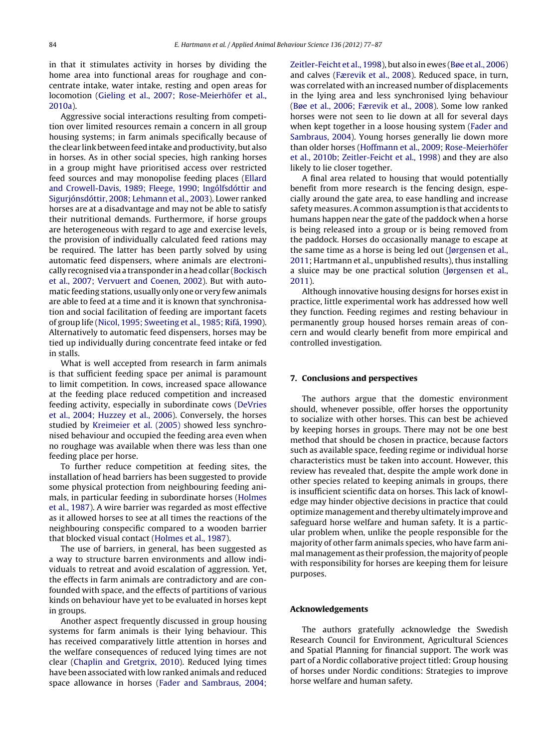in that it stimulates activity in horses by dividing the home area into functional areas for roughage and concentrate intake, water intake, resting and open areas for locomotion [\(Gieling](#page-8-0) et [al.,](#page-8-0) [2007;](#page-8-0) [Rose-Meierhöfer](#page-8-0) et [al.,](#page-8-0) [2010a\).](#page-8-0)

Aggressive social interactions resulting from competition over limited resources remain a concern in all group housing systems; in farm animals specifically because of the clear link between feed intake and productivity, but also in horses. As in other social species, high ranking horses in a group might have prioritised access over restricted feed sources and may monopolise feeding places [\(Ellard](#page-8-0) [and](#page-8-0) [Crowell-Davis,](#page-8-0) [1989;](#page-8-0) [Fleege,](#page-8-0) [1990;](#page-8-0) [Ingólfsdóttir](#page-8-0) [and](#page-8-0) [Sigurjónsdóttir,](#page-8-0) [2008;](#page-8-0) [Lehmann](#page-8-0) et [al.,](#page-8-0) [2003\).](#page-8-0) Lower ranked horses are at a disadvantage and may not be able to satisfy their nutritional demands. Furthermore, if horse groups are heterogeneous with regard to age and exercise levels, the provision of individually calculated feed rations may be required. The latter has been partly solved by using automatic feed dispensers, where animals are electroni-cally recognised via a transponder in a head collar ([Bockisch](#page-8-0) et [al.,](#page-8-0) [2007;](#page-8-0) [Vervuert](#page-8-0) [and](#page-8-0) [Coenen,](#page-8-0) [2002\).](#page-8-0) But with automatic feeding stations, usually only one or very few animals are able to feed at a time and it is known that synchronisation and social facilitation of feeding are important facets of group life [\(Nicol,](#page-10-0) [1995;](#page-10-0) [Sweeting](#page-10-0) et [al.,](#page-10-0) [1985;](#page-10-0) [Rifá,](#page-10-0) [1990\).](#page-10-0) Alternatively to automatic feed dispensers, horses may be tied up individually during concentrate feed intake or fed in stalls.

What is well accepted from research in farm animals is that sufficient feeding space per animal is paramount to limit competition. In cows, increased space allowance at the feeding place reduced competition and increased feeding activity, especially in subordinate cows ([DeVries](#page-8-0) et [al.,](#page-8-0) [2004;](#page-8-0) [Huzzey](#page-8-0) et [al.,](#page-8-0) [2006\).](#page-8-0) Conversely, the horses studied by [Kreimeier](#page-9-0) et [al.](#page-9-0) [\(2005\)](#page-9-0) showed less synchronised behaviour and occupied the feeding area even when no roughage was available when there was less than one feeding place per horse.

To further reduce competition at feeding sites, the installation of head barriers has been suggested to provide some physical protection from neighbouring feeding animals, in particular feeding in subordinate horses [\(Holmes](#page-9-0) et [al.,](#page-9-0) [1987\).](#page-9-0) A wire barrier was regarded as most effective as it allowed horses to see at all times the reactions of the neighbouring conspecific compared to a wooden barrier that blocked visual contact ([Holmes](#page-9-0) et [al.,](#page-9-0) [1987\).](#page-9-0)

The use of barriers, in general, has been suggested as a way to structure barren environments and allow individuals to retreat and avoid escalation of aggression. Yet, the effects in farm animals are contradictory and are confounded with space, and the effects of partitions of various kinds on behaviour have yet to be evaluated in horses kept in groups.

Another aspect frequently discussed in group housing systems for farm animals is their lying behaviour. This has received comparatively little attention in horses and the welfare consequences of reduced lying times are not clear [\(Chaplin](#page-8-0) [and](#page-8-0) [Gretgrix,](#page-8-0) [2010\).](#page-8-0) Reduced lying times have been associated with low ranked animals and reduced space allowance in horses [\(Fader](#page-8-0) [and](#page-8-0) [Sambraus,](#page-8-0) [2004;](#page-8-0) [Zeitler-Feicht](#page-8-0) et [al.,](#page-8-0) [1998\),](#page-8-0) but also in ewes [\(Bøe](#page-8-0) et [al.,](#page-8-0) [2006\)](#page-8-0) and calves ([Færevik](#page-8-0) et [al.,](#page-8-0) [2008\).](#page-8-0) Reduced space, in turn, was correlated with an increased number of displacements in the lying area and less synchronised lying behaviour [\(Bøe](#page-8-0) et [al.,](#page-8-0) [2006;](#page-8-0) [Færevik](#page-8-0) et [al.,](#page-8-0) [2008\).](#page-8-0) Some low ranked horses were not seen to lie down at all for several days when kept together in a loose housing system ([Fader](#page-8-0) [and](#page-8-0) [Sambraus,](#page-8-0) [2004\).](#page-8-0) Young horses generally lie down more than older horses [\(Hoffmann](#page-9-0) et [al.,](#page-9-0) [2009;](#page-9-0) [Rose-Meierhöfer](#page-9-0) et [al.,](#page-9-0) [2010b;](#page-9-0) [Zeitler-Feicht](#page-9-0) et [al.,](#page-9-0) [1998\)](#page-9-0) and they are also likely to lie closer together.

A final area related to housing that would potentially benefit from more research is the fencing design, especially around the gate area, to ease handling and increase safety measures.Acommon assumption is that accidents to humans happen near the gate of the paddock when a horse is being released into a group or is being removed from the paddock. Horses do occasionally manage to escape at the same time as a horse is being led out [\(Jørgensen](#page-9-0) et [al.,](#page-9-0) [2011;](#page-9-0) Hartmann et al., unpublished results), thus installing a sluice may be one practical solution ([Jørgensen](#page-9-0) et [al.,](#page-9-0) [2011\).](#page-9-0)

Although innovative housing designs for horses exist in practice, little experimental work has addressed how well they function. Feeding regimes and resting behaviour in permanently group housed horses remain areas of concern and would clearly benefit from more empirical and controlled investigation.

#### **7. Conclusions and perspectives**

The authors argue that the domestic environment should, whenever possible, offer horses the opportunity to socialize with other horses. This can best be achieved by keeping horses in groups. There may not be one best method that should be chosen in practice, because factors such as available space, feeding regime or individual horse characteristics must be taken into account. However, this review has revealed that, despite the ample work done in other species related to keeping animals in groups, there is insufficient scientific data on horses. This lack of knowledge may hinder objective decisions in practice that could optimize management and thereby ultimately improve and safeguard horse welfare and human safety. It is a particular problem when, unlike the people responsible for the majority of other farm animals species, who have farm animal management as their profession, the majority of people with responsibility for horses are keeping them for leisure purposes.

#### **Acknowledgements**

The authors gratefully acknowledge the Swedish Research Council for Environment, Agricultural Sciences and Spatial Planning for financial support. The work was part of a Nordic collaborative project titled: Group housing of horses under Nordic conditions: Strategies to improve horse welfare and human safety.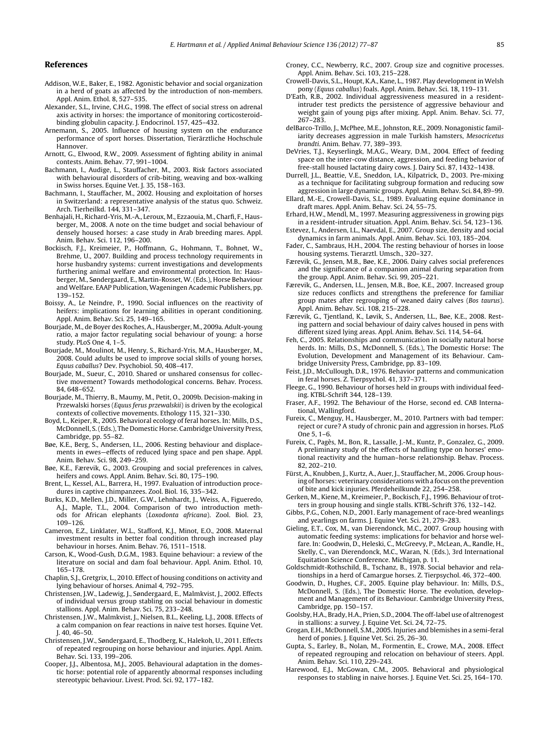#### <span id="page-8-0"></span>**References**

- Addison, W.E., Baker, E., 1982. Agonistic behavior and social organization in a herd of goats as affected by the introduction of non-members. Appl. Anim. Ethol. 8, 527–535.
- Alexander, S.L., Irvine, C.H.G., 1998. The effect of social stress on adrenal axis activity in horses: the importance of monitoring corticosteroidbinding globulin capacity. J. Endocrinol. 157, 425–432.
- Arnemann, S., 2005. Influence of housing system on the endurance performance of sport horses. Dissertation, Tierärztliche Hochschule Hannover.
- Arnott, G., Elwood, R.W., 2009. Assessment of fighting ability in animal contests. Anim. Behav. 77, 991–1004.
- Bachmann, I., Audige, L., Stauffacher, M., 2003. Risk factors associated with behavioural disorders of crib-biting, weaving and box-walking in Swiss horses. Equine Vet. J. 35, 158–163.
- Bachmann, I., Stauffacher, M., 2002. Housing and exploitation of horses in Switzerland: a representative analysis of the status quo. Schweiz. Arch. Tierheilkd. 144, 331–347.
- Benhajali, H., Richard-Yris, M.-A., Leroux, M., Ezzaouia, M., Charfi, F., Hausberger, M., 2008. A note on the time budget and social behaviour of densely housed horses: a case study in Arab breeding mares. Appl. Anim. Behav. Sci. 112, 196–200.
- Bockisch, F.J., Kreimeier, P., Hoffmann, G., Hohmann, T., Bohnet, W., Brehme, U., 2007. Building and process technology requirements in horse husbandry systems: current investigations and developments furthering animal welfare and environmental protection. In: Hausberger, M., Søndergaard, E., Martin-Rosset, W. (Eds.), Horse Behaviour and Welfare. EAAP Publication, Wageningen Academic Publishers, pp. 139–152.
- Boissy, A., Le Neindre, P., 1990. Social influences on the reactivity of heifers: implications for learning abilities in operant conditioning. Appl. Anim. Behav. Sci. 25, 149–165.
- Bourjade, M., de Boyer des Roches, A., Hausberger, M., 2009a. Adult-young ratio, a major factor regulating social behaviour of young: a horse study. PLoS One 4, 1–5.
- Bourjade, M., Moulinot, M., Henry, S., Richard-Yris, M.A., Hausberger, M., 2008. Could adults be used to improve social skills of young horses, Equus caballus? Dev. Psychobiol. 50, 408–417.
- Bourjade, M., Sueur, C., 2010. Shared or unshared consensus for collective movement? Towards methodological concerns. Behav. Process. 84, 648–652.
- Bourjade, M., Thierry, B., Maumy, M., Petit, O., 2009b. Decision-making in Przewalski horses (Equus ferus przewalskii) is driven by the ecological contexts of collective movements. Ethology 115, 321–330.
- Boyd, L., Keiper, R., 2005. Behavioral ecology of feral horses. In: Mills, D.S., McDonnell, S.(Eds.), The Domestic Horse. Cambridge University Press, Cambridge, pp. 55–82.
- Bøe, K.E., Berg, S., Andersen, I.L., 2006. Resting behaviour and displacements in ewes—effects of reduced lying space and pen shape. Appl. Anim. Behav. Sci. 98, 249–259.
- Bøe, K.E., Færevik, G., 2003. Grouping and social preferences in calves, heifers and cows. Appl. Anim. Behav. Sci. 80, 175–190.
- Brent, L., Kessel, A.L., Barrera, H., 1997. Evaluation of introduction procedures in captive chimpanzees. Zool. Biol. 16, 335–342.
- Burks, K.D., Mellen, J.D., Miller, G.W., Lehnhardt, J., Weiss, A., Figueredo, A.J., Maple, T.L., 2004. Comparison of two introduction methods for African elephants (Loxodonta africana). Zool. Biol. 23, 109–126.
- Cameron, E.Z., Linklater, W.L., Stafford, K.J., Minot, E.O., 2008. Maternal investment results in better foal condition through increased play behaviour in horses. Anim. Behav. 76, 1511–1518.
- Carson, K., Wood-Gush, D.G.M., 1983. Equine behaviour: a review of the literature on social and dam foal behaviour. Appl. Anim. Ethol. 10, 165–178.
- Chaplin, S.J., Gretgrix, L., 2010. Effect of housing conditions on activity and lying behaviour of horses. Animal 4, 792–795.
- Christensen, J.W., Ladewig, J., Søndergaard, E., Malmkvist, J., 2002. Effects of individual versus group stabling on social behaviour in domestic stallions. Appl. Anim. Behav. Sci. 75, 233–248.
- Christensen, J.W., Malmkvist, J., Nielsen, B.L., Keeling, L.J., 2008. Effects of a calm companion on fear reactions in naive test horses. Equine Vet. J. 40, 46–50.
- Christensen, J.W., Søndergaard, E., Thodberg, K., Halekoh, U., 2011. Effects of repeated regrouping on horse behaviour and injuries. Appl. Anim. Behav. Sci. 133, 199–206.
- Cooper, J.J., Albentosa, M.J., 2005. Behavioural adaptation in the domestic horse: potential role of apparently abnormal responses including stereotypic behaviour. Livest. Prod. Sci. 92, 177–182.
- Croney, C.C., Newberry, R.C., 2007. Group size and cognitive processes. Appl. Anim. Behav. Sci. 103, 215–228.
- Crowell-Davis, S.L., Houpt, K.A., Kane, L., 1987. Play development in Welsh pony (Equus caballus) foals. Appl. Anim. Behav. Sci. 18, 119–131.
- D'Eath, R.B., 2002. Individual aggressiveness measured in a residentintruder test predicts the persistence of aggressive behaviour and weight gain of young pigs after mixing. Appl. Anim. Behav. Sci. 77, 267–283.
- delBarco-Trillo, J., McPhee, M.E., Johnston, R.E., 2009. Nonagonistic familiarity decreases aggression in male Turkish hamsters, Mesocricetus brandti. Anim. Behav. 77, 389–393.
- DeVries, T.J., Keyserlingk, M.A.G., Weary, D.M., 2004. Effect of feeding space on the inter-cow distance, aggression, and feeding behavior of free-stall housed lactating dairy cows. J. Dairy Sci. 87, 1432–1438.
- Durrell, J.L., Beattie, V.E., Sneddon, I.A., Kilpatrick, D., 2003. Pre-mixing as a technique for facilitating subgroup formation and reducing sow aggression in large dynamic groups. Appl. Anim. Behav. Sci. 84, 89–99.
- Ellard, M.-E., Crowell-Davis, S.L., 1989. Evaluating equine dominance in draft mares. Appl. Anim. Behav. Sci. 24, 55–75.
- Erhard, H.W., Mendl, M., 1997. Measuring aggressiveness in growing pigs in a resident-intruder situation. Appl. Anim. Behav. Sci. 54, 123–136. Estevez, I., Andersen, I.L., Naevdal, E., 2007. Group size, density and social
- dynamics in farm animals. Appl. Anim. Behav. Sci. 103, 185–204.
- Fader, C., Sambraus, H.H., 2004. The resting behaviour of horses in loose housing systems. Tierarztl. Umsch., 320–327.
- Færevik, G., Jensen, M.B., Bøe, K.E., 2006. Dairy calves social preferences and the significance of a companion animal during separation from the group. Appl. Anim. Behav. Sci. 99, 205–221.
- Færevik, G., Andersen, I.L., Jensen, M.B., Boe, K.E., 2007. Increased group size reduces conflicts and strengthens the preference for familiar group mates after regrouping of weaned dairy calves (Bos taurus). Appl. Anim. Behav. Sci. 108, 215–228.
- Færevik, G., Tjentland, K., Løvik, S., Andersen, I.L., Bøe, K.E., 2008. Resting pattern and social behaviour of dairy calves housed in pens with different sized lying areas. Appl. Anim. Behav. Sci. 114, 54–64.
- Feh, C., 2005. Relationships and communication in socially natural horse herds. In: Mills, D.S., McDonnell, S. (Eds.), The Domestic Horse: The Evolution, Development and Management of its Behaviour. Cambridge University Press, Cambridge, pp. 83–109.
- Feist, J.D., McCullough, D.R., 1976. Behavior patterns and communication in feral horses. Z. Tierpsychol. 41, 337–371.
- Fleege, G., 1990. Behaviour of horses held in groups with individual feeding. KTBL-Schrift 344, 128–139.
- Fraser, A.F., 1992. The Behaviour of the Horse, second ed. CAB International, Wallingford.
- Fureix, C., Menguy, H., Hausberger, M., 2010. Partners with bad temper: reject or cure? A study of chronic pain and aggression in horses. PLoS One 5, 1–6.
- Fureix, C., Pagès, M., Bon, R., Lassalle, J.-M., Kuntz, P., Gonzalez, G., 2009. A preliminary study of the effects of handling type on horses' emotional reactivity and the human–horse relationship. Behav. Process. 82, 202–210.
- Fürst, A., Knubben, J., Kurtz, A., Auer, J., Stauffacher, M., 2006. Group housing of horses: veterinary considerations with a focus on the prevention of bite and kick injuries. Pferdeheilkunde 22, 254–258.
- Gerken, M., Kiene, M., Kreimeier, P., Bockisch, F.J., 1996. Behaviour of trotters in group housing and single stalls. KTBL-Schrift 376, 132–142.
- Gibbs, P.G., Cohen, N.D., 2001. Early management of race-bred weanlings and yearlings on farms. J. Equine Vet. Sci. 21, 279–283.
- Gieling, E.T., Cox, M., van Dierendonck, M.C., 2007. Group housing with automatic feeding systems: implications for behavior and horse welfare. In: Goodwin, D., Heleski, C., McGreevy, P., McLean, A., Randle, H., Skelly, C., van Dierendonck, M.C., Waran, N. (Eds.), 3rd International Equitation Science Conference. Michigan, p. 11.
- Goldschmidt-Rothschild, B., Tschanz, B., 1978. Social behavior and relationships in a herd of Camargue horses. Z. Tierpsychol. 46, 372–400.
- Goodwin, D., Hughes, C.F., 2005. Equine play behaviour. In: Mills, D.S., McDonnell, S. (Eds.), The Domestic Horse. The evolution, development and Management of its Behaviour. Cambridge University Press, Cambridge, pp. 150–157.
- Goolsby, H.A., Brady, H.A., Prien, S.D., 2004. The off-label use of altrenogest in stallions: a survey. J. Equine Vet. Sci. 24, 72–75.
- Grogan, E.H., McDonnell, S.M., 2005. Injuries and blemishes in a semi-feral herd of ponies. J. Equine Vet. Sci. 25, 26–30.
- Gupta, S., Earley, B., Nolan, M., Formentin, E., Crowe, M.A., 2008. Effect of repeated regrouping and relocation on behaviour of steers. Appl. Anim. Behav. Sci. 110, 229–243.
- Harewood, E.J., McGowan, C.M., 2005. Behavioral and physiological responses to stabling in naive horses. J. Equine Vet. Sci. 25, 164–170.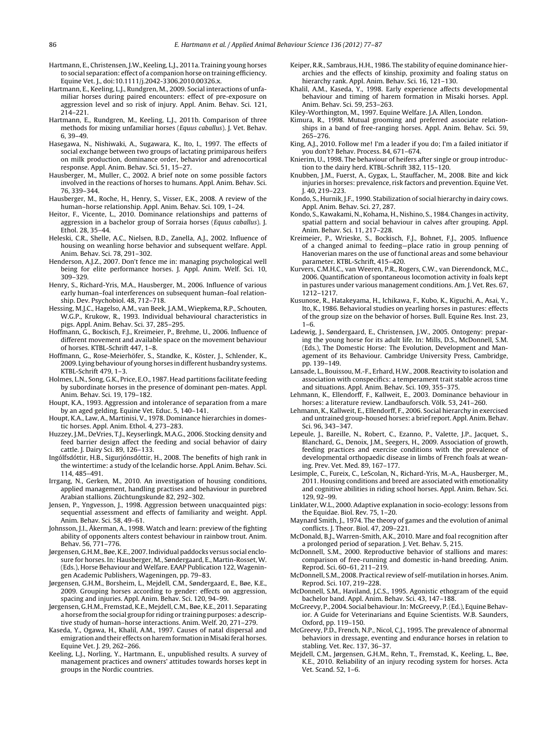- <span id="page-9-0"></span>Hartmann, E., Christensen, J.W., Keeling, L.J., 2011a. Training young horses to social separation: effect of a companion horse on training efficiency. Equine Vet. J., doi:10.1111/j.2042-3306.2010.00326.x.
- Hartmann, E., Keeling, L.J., Rundgren, M., 2009. Social interactions of unfamiliar horses during paired encounters: effect of pre-exposure on aggression level and so risk of injury. Appl. Anim. Behav. Sci. 121, 214–221.
- Hartmann, E., Rundgren, M., Keeling, L.J., 2011b. Comparison of three methods for mixing unfamiliar horses (*Equus caballus*). I. Vet. Behav. 6, 39–49.
- Hasegawa, N., Nishiwaki, A., Sugawara, K., Ito, I., 1997. The effects of social exchange between two groups of lactating primiparous heifers on milk production, dominance order, behavior and adrenocortical response. Appl. Anim. Behav. Sci. 51, 15–27.
- Hausberger, M., Muller, C., 2002. A brief note on some possible factors involved in the reactions of horses to humans. Appl. Anim. Behav. Sci. 76, 339–344.
- Hausberger, M., Roche, H., Henry, S., Visser, E.K., 2008. A review of the human–horse relationship. Appl. Anim. Behav. Sci. 109, 1–24.
- Heitor, F., Vicente, L., 2010. Dominance relationships and patterns of aggression in a bachelor group of Sorraia horses (Equus caballus). J. Ethol. 28, 35–44.
- Heleski, C.R., Shelle, A.C., Nielsen, B.D., Zanella, A.J., 2002. Influence of housing on weanling horse behavior and subsequent welfare. Appl. Anim. Behav. Sci. 78, 291–302.
- Henderson, A.J.Z., 2007. Don't fence me in: managing psychological well being for elite performance horses. J. Appl. Anim. Welf. Sci. 10, 309–329.
- Henry, S., Richard-Yris, M.A., Hausberger, M., 2006. Influence of various early human–foal interferences on subsequent human–foal relationship. Dev. Psychobiol. 48, 712–718.
- Hessing, M.J.C., Hagelso, A.M., van Beek, J.A.M., Wiepkema, R.P., Schouten, W.G.P., Krukow, R., 1993. Individual behavioural characteristics in pigs. Appl. Anim. Behav. Sci. 37, 285–295.
- Hoffmann, G., Bockisch, F.J., Kreimeier, P., Brehme, U., 2006. Influence of different movement and available space on the movement behaviour of horses. KTBL-Schrift 447, 1–8.
- Hoffmann, G., Rose-Meierhöfer, S., Standke, K., Köster, J., Schlender, K., 2009. Lying behaviour of young horses in different husbandry systems. KTBL-Schrift 479, 1–3.
- Holmes, L.N., Song, G.K., Price, E.O., 1987. Head partitions facilitate feeding by subordinate horses in the presence of dominant pen-mates. Appl. Anim. Behav. Sci. 19, 179–182.
- Houpt, K.A., 1993. Aggression and intolerance of separation from a mare by an aged gelding. Equine Vet. Educ. 5, 140–141.
- Houpt, K.A., Law, A., Martinisi, V., 1978. Dominance hierarchies in domestic horses. Appl. Anim. Ethol. 4, 273–283.
- Huzzey, J.M., DeVries, T.J., Keyserlingk, M.A.G., 2006. Stocking density and feed barrier design affect the feeding and social behavior of dairy cattle. J. Dairy Sci. 89, 126–133.
- Ingólfsdóttir, H.B., Sigurjónsdóttir, H., 2008. The benefits of high rank in the wintertime: a study of the Icelandic horse. Appl. Anim. Behav. Sci. 114, 485–491.
- Irrgang, N., Gerken, M., 2010. An investigation of housing conditions, applied management, handling practises and behaviour in purebred Arabian stallions. Züchtungskunde 82, 292–302.
- Jensen, P., Yngvesson, J., 1998. Aggression between unacquainted pigs: sequential assessment and effects of familiarity and weight. Appl. Anim. Behav. Sci. 58, 49–61.
- Johnsson, J.I., Åkerman, A., 1998. Watch and learn: preview of the fighting ability of opponents alters contest behaviour in rainbow trout. Anim. Behav. 56, 771–776.
- Jørgensen, G.H.M., Bøe, K.E., 2007. Individual paddocks versus social enclosure for horses. In: Hausberger, M., Søndergaard, E., Martin-Rosset, W. (Eds.), Horse Behaviour and Welfare. EAAP Publication 122, Wageningen Academic Publishers, Wageningen, pp. 79–83.
- Jørgensen, G.H.M., Borsheim, L., Mejdell, C.M., Søndergaard, E., Bøe, K.E., 2009. Grouping horses according to gender: effects on aggression, spacing and injuries. Appl. Anim. Behav. Sci. 120, 94–99.
- Jørgensen, G.H.M., Fremstad, K.E., Mejdell, C.M., Bøe, K.E., 2011. Separating a horse from the social group for riding or training purposes: a descriptive study of human–horse interactions. Anim. Welf. 20, 271–279.
- Kaseda, Y., Ogawa, H., Khalil, A.M., 1997. Causes of natal dispersal and emigration and their effects on harem formation in Misaki feral horses. Equine Vet. J. 29, 262–266.
- Keeling, L.J., Norling, Y., Hartmann, E., unpublished results. A survey of management practices and owners' attitudes towards horses kept in groups in the Nordic countries.
- Keiper, R.R., Sambraus, H.H., 1986. The stability of equine dominance hierarchies and the effects of kinship, proximity and foaling status on hierarchy rank. Appl. Anim. Behav. Sci. 16, 121–130.
- Khalil, A.M., Kaseda, Y., 1998. Early experience affects developmental behaviour and timing of harem formation in Misaki horses. Appl. Anim. Behav. Sci. 59, 253–263.
- Kiley-Worthington, M., 1997. Equine Welfare. J.A. Allen, London.
- Kimura, R., 1998. Mutual grooming and preferred associate relationships in a band of free-ranging horses. Appl. Anim. Behav. Sci. 59, 265–276.
- King, A.J., 2010. Follow me! I'm a leader if you do; I'm a failed initiator if you don't? Behav. Process. 84, 671–674.
- Knierim, U., 1998. The behaviour of heifers after single or group introduction to the dairy herd. KTBL-Schrift 382, 115–120.
- Knubben, J.M., Fuerst, A., Gygax, L., Stauffacher, M., 2008. Bite and kick injuries in horses: prevalence, risk factors and prevention. Equine Vet. J. 40, 219–223.
- Kondo, S., Hurnik, J.F., 1990. Stabilization of social hierarchy in dairy cows. Appl. Anim. Behav. Sci. 27, 287.
- Kondo, S., Kawakami, N., Kohama, H., Nishino, S., 1984. Changes in activity, spatial pattern and social behaviour in calves after grouping. Appl. Anim. Behav. Sci. 11, 217–228.
- Kreimeier, P., Wrieske, S., Bockisch, F.J., Bohnet, F.J., 2005. Influence of a changed animal to feeding—place ratio in group penning of Hanoverian mares on the use of functional areas and some behaviour parameter. KTBL-Schrift, 415–420.
- Kurvers, C.M.H.C., van Weeren, P.R., Rogers, C.W., van Dierendonck, M.C., 2006. Quantification of spontaneous locomotion activity in foals kept in pastures under various management conditions. Am. J. Vet. Res. 67, 1212–1217.
- Kusunose, R., Hatakeyama, H., Ichikawa, F., Kubo, K., Kiguchi, A., Asai, Y., Ito, K., 1986. Behavioral studies on yearling horses in pastures: effects of the group size on the behavior of horses. Bull. Equine Res. Inst. 23, 1–6.
- Ladewig, J., Søndergaard, E., Christensen, J.W., 2005. Ontogeny: preparing the young horse for its adult life. In: Mills, D.S., McDonnell, S.M. (Eds.), The Domestic Horse: The Evolution, Development and Management of its Behaviour. Cambridge University Press, Cambridge, pp. 139–149.
- Lansade, L., Bouissou, M.-F., Erhard, H.W., 2008. Reactivity to isolation and association with conspecifics: a temperament trait stable across time and situations. Appl. Anim. Behav. Sci. 109, 355–375.
- Lehmann, K., Ellendorff, F., Kallweit, E., 2003. Dominance behaviour in horses: a literature review. Landbauforsch. Völk. 53, 241–260.
- Lehmann, K., Kallweit, E., Ellendorff, F., 2006. Social hierarchy in exercised and untrained group-housed horses: a brief report. Appl. Anim. Behav. Sci. 96, 343–347.
- Lepeule, J., Bareille, N., Robert, C., Ezanno, P., Valette, J.P., Jacquet, S., Blanchard, G., Denoix, J.M., Seegers, H., 2009. Association of growth, feeding practices and exercise conditions with the prevalence of developmental orthopaedic disease in limbs of French foals at weaning. Prev. Vet. Med. 89, 167–177.
- Lesimple, C., Fureix, C., LeScolan, N., Richard-Yris, M.-A., Hausberger, M., 2011. Housing conditions and breed are associated with emotionality and cognitive abilities in riding school horses. Appl. Anim. Behav. Sci. 129, 92–99.
- Linklater, W.L., 2000. Adaptive explanation in socio-ecology: lessons from the Equidae. Biol. Rev. 75, 1–20.
- Maynard Smith, J., 1974. The theory of games and the evolution of animal conflicts. J. Theor. Biol. 47, 209–221.
- McDonald, B.J., Warren-Smith, A.K., 2010. Mare and foal recognition after a prolonged period of separation. J. Vet. Behav. 5, 215.
- McDonnell, S.M., 2000. Reproductive behavior of stallions and mares: comparison of free-running and domestic in-hand breeding. Anim. Reprod. Sci. 60–61, 211–219.
- McDonnell, S.M., 2008. Practical review of self-mutilation in horses. Anim. Reprod. Sci. 107, 219–228.
- McDonnell, S.M., Haviland, J.C.S., 1995. Agonistic ethogram of the equid bachelor band. Appl. Anim. Behav. Sci. 43, 147–188.
- McGreevy, P., 2004. Social behaviour. In: McGreevy, P.(Ed.), Equine Behavior. A Guide for Veterinarians and Equine Scientists. W.B. Saunders, Oxford, pp. 119–150.
- McGreevy, P.D., French, N.P., Nicol, C.J., 1995. The prevalence of abnormal behaviors in dressage, eventing and endurance horses in relation to stabling. Vet. Rec. 137, 36–37.
- Mejdell, C.M., Jørgensen, G.H.M., Rehn, T., Fremstad, K., Keeling, L., Bøe, K.E., 2010. Reliability of an injury recoding system for horses. Acta Vet. Scand. 52, 1–6.